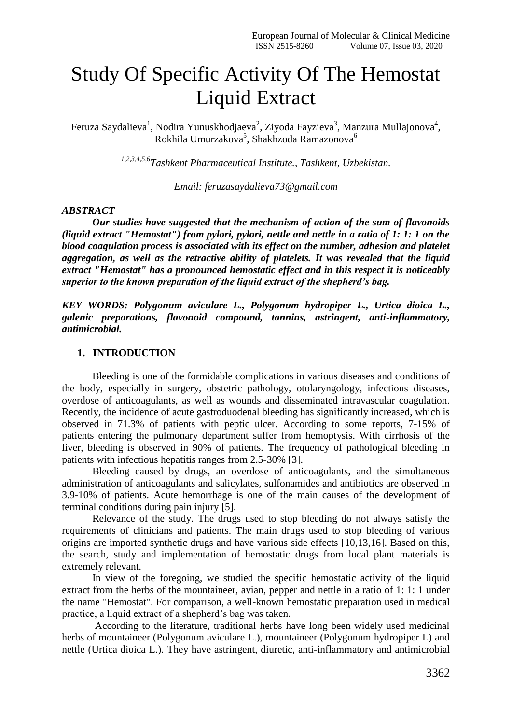# Study Of Specific Activity Of The Hemostat Liquid Extract

Feruza Saydalieva $^1$ , Nodira Yunuskhodjaeva $^2$ , Ziyoda Fayzieva $^3$ , Manzura Mullajonova $^4$ , Rokhila Umurzakova 5 , Shakhzoda Ramazonova 6

*1,2,3,4,5,6Tashkent Pharmaceutical Institute., Tashkent, Uzbekistan.*

*Email: [feruzasaydalieva73@gmail.com](mailto:feruzasaydalieva73@gmail.com)*

## *ABSTRACT*

*Our studies have suggested that the mechanism of action of the sum of flavonoids (liquid extract "Hemostat") from pylori, pylori, nettle and nettle in a ratio of 1: 1: 1 on the blood coagulation process is associated with its effect on the number, adhesion and platelet aggregation, as well as the retractive ability of platelets. It was revealed that the liquid extract "Hemostat" has a pronounced hemostatic effect and in this respect it is noticeably superior to the known preparation of the liquid extract of the shepherd's bag.*

*KEY WORDS: Polygonum aviculare L., Polygonum hydropiper L., Urtica dioica L., galenic preparations, flavonoid compound, tannins, astringent, anti-inflammatory, antimicrobial.*

## **1. INTRODUCTION**

Bleeding is one of the formidable complications in various diseases and conditions of the body, especially in surgery, obstetric pathology, otolaryngology, infectious diseases, overdose of anticoagulants, as well as wounds and disseminated intravascular coagulation. Recently, the incidence of acute gastroduodenal bleeding has significantly increased, which is observed in 71.3% of patients with peptic ulcer. According to some reports, 7-15% of patients entering the pulmonary department suffer from hemoptysis. With cirrhosis of the liver, bleeding is observed in 90% of patients. The frequency of pathological bleeding in patients with infectious hepatitis ranges from 2.5-30% [3].

Bleeding caused by drugs, an overdose of anticoagulants, and the simultaneous administration of anticoagulants and salicylates, sulfonamides and antibiotics are observed in 3.9-10% of patients. Acute hemorrhage is one of the main causes of the development of terminal conditions during pain injury [5].

Relevance of the study. The drugs used to stop bleeding do not always satisfy the requirements of clinicians and patients. The main drugs used to stop bleeding of various origins are imported synthetic drugs and have various side effects [10,13,16]. Based on this, the search, study and implementation of hemostatic drugs from local plant materials is extremely relevant.

In view of the foregoing, we studied the specific hemostatic activity of the liquid extract from the herbs of the mountaineer, avian, pepper and nettle in a ratio of 1: 1: 1 under the name "Hemostat". For comparison, a well-known hemostatic preparation used in medical practice, a liquid extract of a shepherd's bag was taken.

According to the literature, traditional herbs have long been widely used medicinal herbs of mountaineer (Polygonum aviculare L.), mountaineer (Polygonum hydropiper L) and nettle (Urtica dioica L.). They have astringent, diuretic, anti-inflammatory and antimicrobial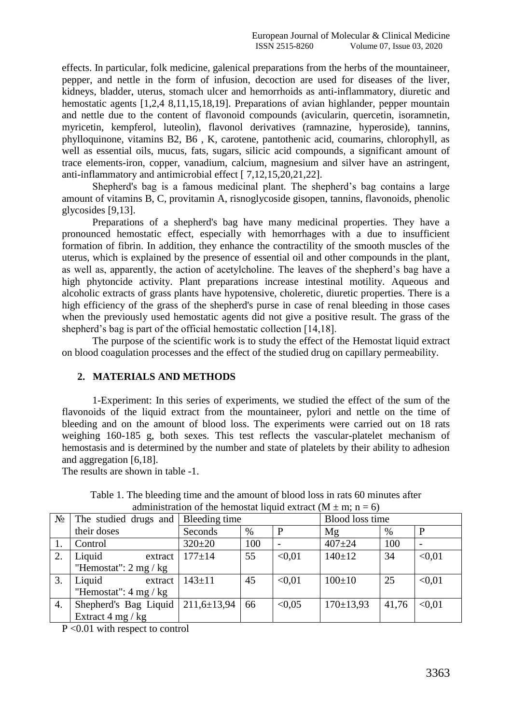effects. In particular, folk medicine, galenical preparations from the herbs of the mountaineer, pepper, and nettle in the form of infusion, decoction are used for diseases of the liver, kidneys, bladder, uterus, stomach ulcer and hemorrhoids as anti-inflammatory, diuretic and hemostatic agents [1,2,4 8,11,15,18,19]. Preparations of avian highlander, pepper mountain and nettle due to the content of flavonoid compounds (avicularin, quercetin, isoramnetin, myricetin, kempferol, luteolin), flavonol derivatives (ramnazine, hyperoside), tannins, phylloquinone, vitamins B2, B6 , K, carotene, pantothenic acid, coumarins, chlorophyll, as well as essential oils, mucus, fats, sugars, silicic acid compounds, a significant amount of trace elements-iron, copper, vanadium, calcium, magnesium and silver have an astringent, anti-inflammatory and antimicrobial effect [ 7,12,15,20,21,22].

Shepherd's bag is a famous medicinal plant. The shepherd's bag contains a large amount of vitamins B, C, provitamin A, risnoglycoside gisopen, tannins, flavonoids, phenolic glycosides [9,13].

Preparations of a shepherd's bag have many medicinal properties. They have a pronounced hemostatic effect, especially with hemorrhages with a due to insufficient formation of fibrin. In addition, they enhance the contractility of the smooth muscles of the uterus, which is explained by the presence of essential oil and other compounds in the plant, as well as, apparently, the action of acetylcholine. The leaves of the shepherd's bag have a high phytoncide activity. Plant preparations increase intestinal motility. Aqueous and alcoholic extracts of grass plants have hypotensive, choleretic, diuretic properties. There is a high efficiency of the grass of the shepherd's purse in case of renal bleeding in those cases when the previously used hemostatic agents did not give a positive result. The grass of the shepherd's bag is part of the official hemostatic collection [14,18].

The purpose of the scientific work is to study the effect of the Hemostat liquid extract on blood coagulation processes and the effect of the studied drug on capillary permeability.

## **2. MATERIALS AND METHODS**

1-Experiment: In this series of experiments, we studied the effect of the sum of the flavonoids of the liquid extract from the mountaineer, pylori and nettle on the time of bleeding and on the amount of blood loss. The experiments were carried out on 18 rats weighing 160-185 g, both sexes. This test reflects the vascular-platelet mechanism of hemostasis and is determined by the number and state of platelets by their ability to adhesion and aggregation [6,18].

The results are shown in table -1.

| $N_2$            | The studied drugs and                  | Bleeding time     |      |        | <b>Blood loss time</b> |       |        |
|------------------|----------------------------------------|-------------------|------|--------|------------------------|-------|--------|
|                  | their doses                            | Seconds           | $\%$ |        | Mg                     | %     | P      |
|                  | Control                                | $320 \pm 20$      | 100  |        | $407 + 24$             | 100   |        |
| 2.               | Liquid<br>extract                      | $177 + 14$        | 55   | < 0.01 | $140 \pm 12$           | 34    | < 0.01 |
|                  | "Hemostat": $2 \text{ mg} / \text{kg}$ |                   |      |        |                        |       |        |
| 3.               | Liquid<br>extract                      | $143 \pm 11$      | 45   | < 0.01 | $100 \pm 10$           | 25    | < 0.01 |
|                  | "Hemostat": $4 \text{ mg} / \text{kg}$ |                   |      |        |                        |       |        |
| $\overline{4}$ . | Shepherd's Bag Liquid                  | $211,6 \pm 13,94$ | 66   | < 0.05 | $170 \pm 13.93$        | 41,76 | < 0.01 |
|                  | Extract $4 \text{ mg} / \text{kg}$     |                   |      |        |                        |       |        |

Table 1. The bleeding time and the amount of blood loss in rats 60 minutes after administration of the hemostat liquid extract (M  $\pm$  m; n = 6)

P <0.01 with respect to control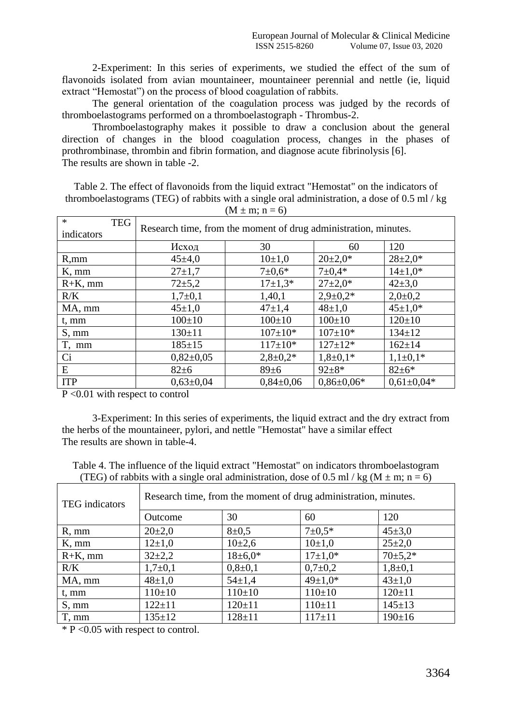2-Experiment: In this series of experiments, we studied the effect of the sum of flavonoids isolated from avian mountaineer, mountaineer perennial and nettle (ie, liquid extract "Hemostat") on the process of blood coagulation of rabbits.

The general orientation of the coagulation process was judged by the records of thromboelastograms performed on a thromboelastograph - Thrombus-2.

Thromboelastography makes it possible to draw a conclusion about the general direction of changes in the blood coagulation process, changes in the phases of prothrombinase, thrombin and fibrin formation, and diagnose acute fibrinolysis [6]. The results are shown in table -2.

Table 2. The effect of flavonoids from the liquid extract "Hemostat" on the indicators of thromboelastograms (TEG) of rabbits with a single oral administration, a dose of 0.5 ml / kg  $(M \pm m; n = 6)$ 

| $\ast$<br><b>TEG</b> | Research time, from the moment of drug administration, minutes. |                 |                  |                  |  |  |  |
|----------------------|-----------------------------------------------------------------|-----------------|------------------|------------------|--|--|--|
| indicators           |                                                                 |                 |                  |                  |  |  |  |
|                      | Исход                                                           | 30              | 60               | 120              |  |  |  |
| R, mm                | $45 \pm 4,0$                                                    | $10+1,0$        | $20 \pm 2.0^*$   | $28 \pm 2.0*$    |  |  |  |
| $K, \, \text{mm}$    | $27 + 1,7$                                                      | $7 \pm 0.6*$    | $7 \pm 0.4*$     | $14\pm1.0*$      |  |  |  |
| $R+K$ , mm           | $72 + 5,2$                                                      | $17\pm1.3*$     | $27 \pm 2.0*$    | $42 \pm 3.0$     |  |  |  |
| R/K                  | $1,7+0,1$                                                       | 1,40,1          | $2,9+0,2*$       | $2,0\pm0,2$      |  |  |  |
| MA, mm               | $45 \pm 1,0$                                                    | $47+1,4$        | $48 \pm 1.0$     | $45 \pm 1.0*$    |  |  |  |
| t, mm                | $100 \pm 10$                                                    | $100 \pm 10$    | $100 \pm 10$     | $120 \pm 10$     |  |  |  |
| S, mm                | $130 \pm 11$                                                    | $107 \pm 10*$   | $107 \pm 10*$    | $134 \pm 12$     |  |  |  |
| T, mm                | $185 \pm 15$                                                    | $117 \pm 10^*$  | $127 \pm 12*$    | $162 \pm 14$     |  |  |  |
| Ci                   | $0,82{\pm}0,05$                                                 | $2,8+0,2*$      | $1,8+0,1*$       | $1,1\pm0,1*$     |  |  |  |
| E                    | $82 \pm 6$                                                      | 89±6            | $92+8*$          | $82 \pm 6*$      |  |  |  |
| <b>ITP</b>           | $0.63 \pm 0.04$                                                 | $0.84 \pm 0.06$ | $0.86 \pm 0.06*$ | $0.61 \pm 0.04*$ |  |  |  |

P <0.01 with respect to control

3-Experiment: In this series of experiments, the liquid extract and the dry extract from the herbs of the mountaineer, pylori, and nettle "Hemostat" have a similar effect The results are shown in table-4.

Table 4. The influence of the liquid extract "Hemostat" on indicators thromboelastogram (TEG) of rabbits with a single oral administration, dose of 0.5 ml / kg ( $M \pm m$ ; n = 6)

| TEG indicators    | Research time, from the moment of drug administration, minutes. |               |               |               |  |  |
|-------------------|-----------------------------------------------------------------|---------------|---------------|---------------|--|--|
|                   | Outcome                                                         | 30            | 60            | 120           |  |  |
| $R, \, \text{mm}$ | $20 \pm 2.0$                                                    | $8 + 0.5$     | $7 \pm 0.5*$  | $45 \pm 3.0$  |  |  |
| $K, \, \text{mm}$ | $12+1,0$                                                        | $10+2,6$      | $10+1,0$      | $25 \pm 2.0$  |  |  |
| $R+K$ , mm        | $32+2,2$                                                        | $18 \pm 6.0*$ | $17+1,0*$     | $70 \pm 5.2*$ |  |  |
| R/K               | $1,7+0,1$                                                       | $0,8{\pm}0,1$ | $0,7{\pm}0,2$ | $1,8+0,1$     |  |  |
| MA, mm            | $48 \pm 1,0$                                                    | $54 \pm 1.4$  | $49 \pm 1.0*$ | $43 \pm 1.0$  |  |  |
| t, mm             | $110 \pm 10$                                                    | $110 \pm 10$  | $110 \pm 10$  | $120 \pm 11$  |  |  |
| S, mm             | $122 \pm 11$                                                    | $120 \pm 11$  | $110+11$      | $145 \pm 13$  |  |  |
| T, mm             | $135 \pm 12$                                                    | $128 + 11$    | $117 \pm 11$  | $190 \pm 16$  |  |  |

 $*$  P < 0.05 with respect to control.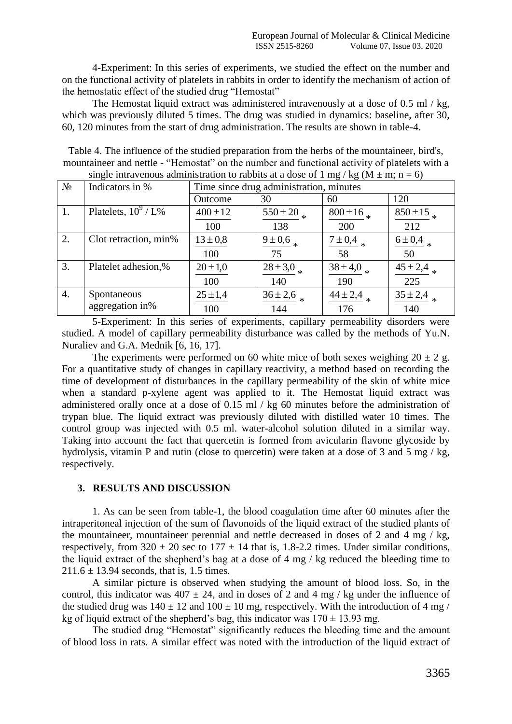4-Experiment: In this series of experiments, we studied the effect on the number and on the functional activity of platelets in rabbits in order to identify the mechanism of action of the hemostatic effect of the studied drug "Hemostat"

The Hemostat liquid extract was administered intravenously at a dose of 0.5 ml / kg, which was previously diluted 5 times. The drug was studied in dynamics: baseline, after 30, 60, 120 minutes from the start of drug administration. The results are shown in table-4.

Table 4. The influence of the studied preparation from the herbs of the mountaineer, bird's, mountaineer and nettle - "Hemostat" on the number and functional activity of platelets with a single intravenous administration to rabbits at a dose of 1 mg/kg ( $M + m$ ; n = 6)

| onigic intravenous authinistration to rabbits at a gose of 1 mg/ $Rg$ (in $\pm$ m, n $= 0$ ) |                        |                                         |              |              |                     |  |
|----------------------------------------------------------------------------------------------|------------------------|-----------------------------------------|--------------|--------------|---------------------|--|
| $N_2$                                                                                        | Indicators in %        | Time since drug administration, minutes |              |              |                     |  |
|                                                                                              |                        | Outcome                                 | 30           | 60           | 120                 |  |
| 1.                                                                                           | Platelets, $10^9$ / L% | $400 \pm 12$                            | $550 \pm 20$ | $800 \pm 16$ | $850 \pm 15$        |  |
|                                                                                              |                        | 100                                     | 138          | 200          | 212                 |  |
| 2.                                                                                           | Clot retraction, min%  | $13 \pm 0.8$                            | $9 \pm 0.6$  | $7 \pm 0.4$  | $6 \pm 0.4$         |  |
|                                                                                              |                        | 100                                     | 75           | 58           | 50                  |  |
| 3.                                                                                           | Platelet adhesion,%    | $20 \pm 1,0$                            | $28 \pm 3.0$ | $38 \pm 4.0$ | $\sqrt{45} \pm 2.4$ |  |
|                                                                                              |                        | 100                                     | 140          | 190          | 225                 |  |
| 4.                                                                                           | Spontaneous            | $25 \pm 1,4$                            | $36 \pm 2.6$ | $44 \pm 2,4$ | $35 \pm 2,4$        |  |
|                                                                                              | aggregation in%        | 100                                     | 144          | 176          | 140                 |  |

5-Experiment: In this series of experiments, capillary permeability disorders were studied. A model of capillary permeability disturbance was called by the methods of Yu.N. Nuraliev and G.A. Mednik [6, 16, 17].

The experiments were performed on 60 white mice of both sexes weighing  $20 \pm 2$  g. For a quantitative study of changes in capillary reactivity, a method based on recording the time of development of disturbances in the capillary permeability of the skin of white mice when a standard p-xylene agent was applied to it. The Hemostat liquid extract was administered orally once at a dose of 0.15 ml / kg 60 minutes before the administration of trypan blue. The liquid extract was previously diluted with distilled water 10 times. The control group was injected with 0.5 ml. water-alcohol solution diluted in a similar way. Taking into account the fact that quercetin is formed from avicularin flavone glycoside by hydrolysis, vitamin P and rutin (close to quercetin) were taken at a dose of 3 and 5 mg / kg, respectively.

## **3. RESULTS AND DISCUSSION**

1. As can be seen from table-1, the blood coagulation time after 60 minutes after the intraperitoneal injection of the sum of flavonoids of the liquid extract of the studied plants of the mountaineer, mountaineer perennial and nettle decreased in doses of 2 and 4 mg  $/$  kg, respectively, from  $320 \pm 20$  sec to  $177 \pm 14$  that is, 1.8-2.2 times. Under similar conditions, the liquid extract of the shepherd's bag at a dose of 4 mg / kg reduced the bleeding time to  $211.6 \pm 13.94$  seconds, that is, 1.5 times.

A similar picture is observed when studying the amount of blood loss. So, in the control, this indicator was  $407 \pm 24$ , and in doses of 2 and 4 mg / kg under the influence of the studied drug was  $140 \pm 12$  and  $100 \pm 10$  mg, respectively. With the introduction of 4 mg / kg of liquid extract of the shepherd's bag, this indicator was  $170 \pm 13.93$  mg.

The studied drug "Hemostat" significantly reduces the bleeding time and the amount of blood loss in rats. A similar effect was noted with the introduction of the liquid extract of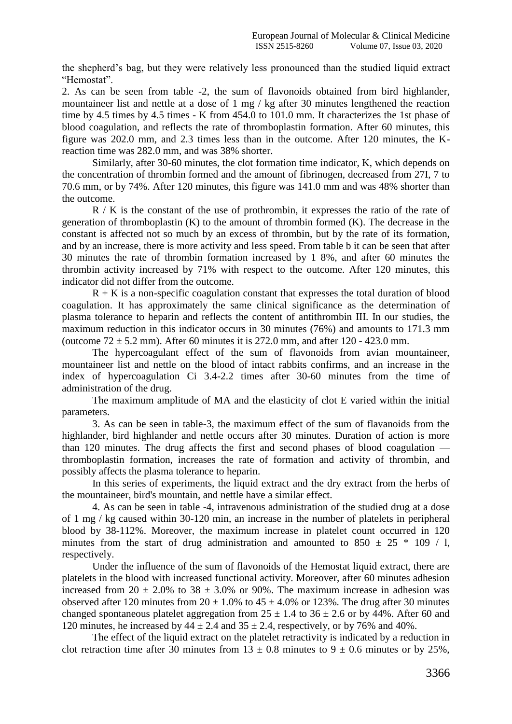the shepherd's bag, but they were relatively less pronounced than the studied liquid extract "Hemostat".

2. As can be seen from table -2, the sum of flavonoids obtained from bird highlander, mountaineer list and nettle at a dose of 1 mg / kg after 30 minutes lengthened the reaction time by 4.5 times by 4.5 times - K from 454.0 to 101.0 mm. It characterizes the 1st phase of blood coagulation, and reflects the rate of thromboplastin formation. After 60 minutes, this figure was 202.0 mm, and 2.3 times less than in the outcome. After 120 minutes, the Kreaction time was 282.0 mm, and was 38% shorter.

Similarly, after 30-60 minutes, the clot formation time indicator, K, which depends on the concentration of thrombin formed and the amount of fibrinogen, decreased from 27I, 7 to 70.6 mm, or by 74%. After 120 minutes, this figure was 141.0 mm and was 48% shorter than the outcome.

R / K is the constant of the use of prothrombin, it expresses the ratio of the rate of generation of thromboplastin (K) to the amount of thrombin formed (K). The decrease in the constant is affected not so much by an excess of thrombin, but by the rate of its formation, and by an increase, there is more activity and less speed. From table b it can be seen that after 30 minutes the rate of thrombin formation increased by 1 8%, and after 60 minutes the thrombin activity increased by 71% with respect to the outcome. After 120 minutes, this indicator did not differ from the outcome.

 $R + K$  is a non-specific coagulation constant that expresses the total duration of blood coagulation. It has approximately the same clinical significance as the determination of plasma tolerance to heparin and reflects the content of antithrombin III. In our studies, the maximum reduction in this indicator occurs in 30 minutes (76%) and amounts to 171.3 mm (outcome  $72 \pm 5.2$  mm). After 60 minutes it is 272.0 mm, and after 120 - 423.0 mm.

The hypercoagulant effect of the sum of flavonoids from avian mountaineer, mountaineer list and nettle on the blood of intact rabbits confirms, and an increase in the index of hypercoagulation Ci 3.4-2.2 times after 30-60 minutes from the time of administration of the drug.

The maximum amplitude of MA and the elasticity of clot E varied within the initial parameters.

3. As can be seen in table-3, the maximum effect of the sum of flavanoids from the highlander, bird highlander and nettle occurs after 30 minutes. Duration of action is more than 120 minutes. The drug affects the first and second phases of blood coagulation thromboplastin formation, increases the rate of formation and activity of thrombin, and possibly affects the plasma tolerance to heparin.

In this series of experiments, the liquid extract and the dry extract from the herbs of the mountaineer, bird's mountain, and nettle have a similar effect.

4. As can be seen in table -4, intravenous administration of the studied drug at a dose of 1 mg / kg caused within 30-120 min, an increase in the number of platelets in peripheral blood by 38-112%. Moreover, the maximum increase in platelet count occurred in 120 minutes from the start of drug administration and amounted to  $850 \pm 25$  \* 109 / l, respectively.

Under the influence of the sum of flavonoids of the Hemostat liquid extract, there are platelets in the blood with increased functional activity. Moreover, after 60 minutes adhesion increased from  $20 \pm 2.0\%$  to  $38 \pm 3.0\%$  or 90%. The maximum increase in adhesion was observed after 120 minutes from  $20 \pm 1.0$ % to  $45 \pm 4.0$ % or 123%. The drug after 30 minutes changed spontaneous platelet aggregation from  $25 \pm 1.4$  to  $36 \pm 2.6$  or by 44%. After 60 and 120 minutes, he increased by  $44 \pm 2.4$  and  $35 \pm 2.4$ , respectively, or by 76% and 40%.

The effect of the liquid extract on the platelet retractivity is indicated by a reduction in clot retraction time after 30 minutes from  $13 \pm 0.8$  minutes to  $9 \pm 0.6$  minutes or by 25%,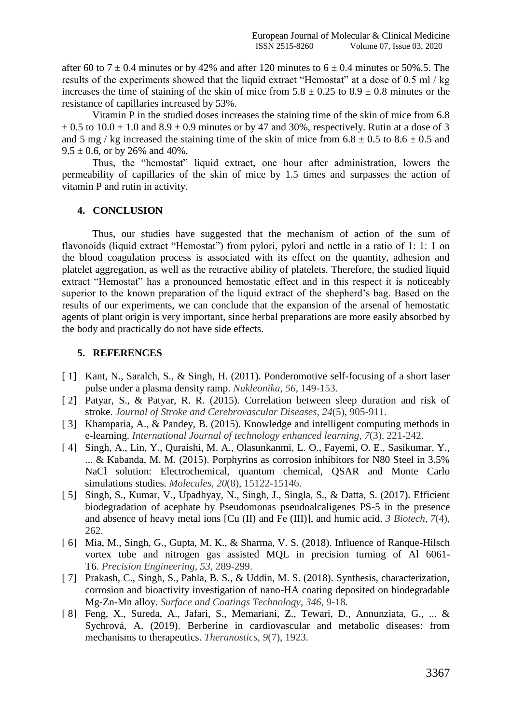after 60 to  $7 \pm 0.4$  minutes or by 42% and after 120 minutes to  $6 \pm 0.4$  minutes or 50%.5. The results of the experiments showed that the liquid extract "Hemostat" at a dose of 0.5 ml / kg increases the time of staining of the skin of mice from  $5.8 \pm 0.25$  to  $8.9 \pm 0.8$  minutes or the resistance of capillaries increased by 53%.

Vitamin P in the studied doses increases the staining time of the skin of mice from 6.8  $\pm$  0.5 to 10.0  $\pm$  1.0 and 8.9  $\pm$  0.9 minutes or by 47 and 30%, respectively. Rutin at a dose of 3 and 5 mg / kg increased the staining time of the skin of mice from  $6.8 \pm 0.5$  to  $8.6 \pm 0.5$  and  $9.5 \pm 0.6$ , or by 26% and 40%.

Thus, the "hemostat" liquid extract, one hour after administration, lowers the permeability of capillaries of the skin of mice by 1.5 times and surpasses the action of vitamin P and rutin in activity.

## **4. CONCLUSION**

Thus, our studies have suggested that the mechanism of action of the sum of flavonoids (liquid extract "Hemostat") from pylori, pylori and nettle in a ratio of 1: 1: 1 on the blood coagulation process is associated with its effect on the quantity, adhesion and platelet aggregation, as well as the retractive ability of platelets. Therefore, the studied liquid extract "Hemostat" has a pronounced hemostatic effect and in this respect it is noticeably superior to the known preparation of the liquid extract of the shepherd's bag. Based on the results of our experiments, we can conclude that the expansion of the arsenal of hemostatic agents of plant origin is very important, since herbal preparations are more easily absorbed by the body and practically do not have side effects.

## **5. REFERENCES**

- [1] Kant, N., Saralch, S., & Singh, H. (2011). Ponderomotive self-focusing of a short laser pulse under a plasma density ramp. *Nukleonika*, *56*, 149-153.
- [ 2] Patyar, S., & Patyar, R. R. (2015). Correlation between sleep duration and risk of stroke. *Journal of Stroke and Cerebrovascular Diseases*, *24*(5), 905-911.
- [ 3] Khamparia, A., & Pandey, B. (2015). Knowledge and intelligent computing methods in e-learning. *International Journal of technology enhanced learning*, *7*(3), 221-242.
- [ 4] Singh, A., Lin, Y., Quraishi, M. A., Olasunkanmi, L. O., Fayemi, O. E., Sasikumar, Y., ... & Kabanda, M. M. (2015). Porphyrins as corrosion inhibitors for N80 Steel in 3.5% NaCl solution: Electrochemical, quantum chemical, QSAR and Monte Carlo simulations studies. *Molecules*, *20*(8), 15122-15146.
- [ 5] Singh, S., Kumar, V., Upadhyay, N., Singh, J., Singla, S., & Datta, S. (2017). Efficient biodegradation of acephate by Pseudomonas pseudoalcaligenes PS-5 in the presence and absence of heavy metal ions [Cu (II) and Fe (III)], and humic acid. *3 Biotech*, *7*(4), 262.
- [ 6] Mia, M., Singh, G., Gupta, M. K., & Sharma, V. S. (2018). Influence of Ranque-Hilsch vortex tube and nitrogen gas assisted MQL in precision turning of Al 6061- T6. *Precision Engineering*, *53*, 289-299.
- [ 7] Prakash, C., Singh, S., Pabla, B. S., & Uddin, M. S. (2018). Synthesis, characterization, corrosion and bioactivity investigation of nano-HA coating deposited on biodegradable Mg-Zn-Mn alloy. *Surface and Coatings Technology*, *346*, 9-18.
- [ 8] Feng, X., Sureda, A., Jafari, S., Memariani, Z., Tewari, D., Annunziata, G., ... & Sychrová, A. (2019). Berberine in cardiovascular and metabolic diseases: from mechanisms to therapeutics. *Theranostics*, *9*(7), 1923.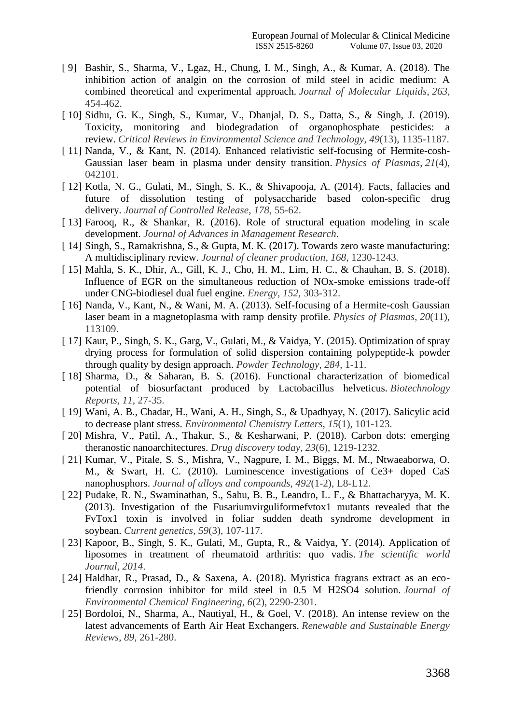- [ 9] Bashir, S., Sharma, V., Lgaz, H., Chung, I. M., Singh, A., & Kumar, A. (2018). The inhibition action of analgin on the corrosion of mild steel in acidic medium: A combined theoretical and experimental approach. *Journal of Molecular Liquids*, *263*, 454-462.
- [ 10] Sidhu, G. K., Singh, S., Kumar, V., Dhanjal, D. S., Datta, S., & Singh, J. (2019). Toxicity, monitoring and biodegradation of organophosphate pesticides: a review. *Critical Reviews in Environmental Science and Technology*, *49*(13), 1135-1187.
- [ 11] Nanda, V., & Kant, N. (2014). Enhanced relativistic self-focusing of Hermite-cosh-Gaussian laser beam in plasma under density transition. *Physics of Plasmas*, *21*(4), 042101.
- [ 12] Kotla, N. G., Gulati, M., Singh, S. K., & Shivapooja, A. (2014). Facts, fallacies and future of dissolution testing of polysaccharide based colon-specific drug delivery. *Journal of Controlled Release*, *178*, 55-62.
- [13] Farooq, R., & Shankar, R. (2016). Role of structural equation modeling in scale development. *Journal of Advances in Management Research*.
- [ 14] Singh, S., Ramakrishna, S., & Gupta, M. K. (2017). Towards zero waste manufacturing: A multidisciplinary review. *Journal of cleaner production*, *168*, 1230-1243.
- [ 15] Mahla, S. K., Dhir, A., Gill, K. J., Cho, H. M., Lim, H. C., & Chauhan, B. S. (2018). Influence of EGR on the simultaneous reduction of NOx-smoke emissions trade-off under CNG-biodiesel dual fuel engine. *Energy*, *152*, 303-312.
- [ 16] Nanda, V., Kant, N., & Wani, M. A. (2013). Self-focusing of a Hermite-cosh Gaussian laser beam in a magnetoplasma with ramp density profile. *Physics of Plasmas*, *20*(11), 113109.
- [ 17] Kaur, P., Singh, S. K., Garg, V., Gulati, M., & Vaidya, Y. (2015). Optimization of spray drying process for formulation of solid dispersion containing polypeptide-k powder through quality by design approach. *Powder Technology*, *284*, 1-11.
- [ 18] Sharma, D., & Saharan, B. S. (2016). Functional characterization of biomedical potential of biosurfactant produced by Lactobacillus helveticus. *Biotechnology Reports*, *11*, 27-35.
- [ 19] Wani, A. B., Chadar, H., Wani, A. H., Singh, S., & Upadhyay, N. (2017). Salicylic acid to decrease plant stress. *Environmental Chemistry Letters*, *15*(1), 101-123.
- [ 20] Mishra, V., Patil, A., Thakur, S., & Kesharwani, P. (2018). Carbon dots: emerging theranostic nanoarchitectures. *Drug discovery today*, *23*(6), 1219-1232.
- [ 21] Kumar, V., Pitale, S. S., Mishra, V., Nagpure, I. M., Biggs, M. M., Ntwaeaborwa, O. M., & Swart, H. C. (2010). Luminescence investigations of Ce3+ doped CaS nanophosphors. *Journal of alloys and compounds*, *492*(1-2), L8-L12.
- [ 22] Pudake, R. N., Swaminathan, S., Sahu, B. B., Leandro, L. F., & Bhattacharyya, M. K. (2013). Investigation of the Fusariumvirguliformefvtox1 mutants revealed that the FvTox1 toxin is involved in foliar sudden death syndrome development in soybean. *Current genetics*, *59*(3), 107-117.
- [ 23] Kapoor, B., Singh, S. K., Gulati, M., Gupta, R., & Vaidya, Y. (2014). Application of liposomes in treatment of rheumatoid arthritis: quo vadis. *The scientific world Journal*, *2014*.
- [ 24] Haldhar, R., Prasad, D., & Saxena, A. (2018). Myristica fragrans extract as an ecofriendly corrosion inhibitor for mild steel in 0.5 M H2SO4 solution. *Journal of Environmental Chemical Engineering*, *6*(2), 2290-2301.
- [ 25] Bordoloi, N., Sharma, A., Nautiyal, H., & Goel, V. (2018). An intense review on the latest advancements of Earth Air Heat Exchangers. *Renewable and Sustainable Energy Reviews*, *89*, 261-280.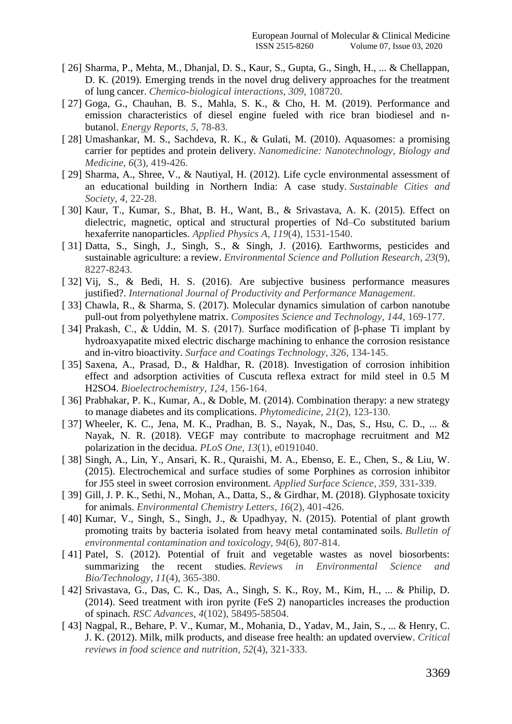- [ 26] Sharma, P., Mehta, M., Dhanjal, D. S., Kaur, S., Gupta, G., Singh, H., ... & Chellappan, D. K. (2019). Emerging trends in the novel drug delivery approaches for the treatment of lung cancer. *Chemico-biological interactions*, *309*, 108720.
- [ 27] Goga, G., Chauhan, B. S., Mahla, S. K., & Cho, H. M. (2019). Performance and emission characteristics of diesel engine fueled with rice bran biodiesel and nbutanol. *Energy Reports*, *5*, 78-83.
- [ 28] Umashankar, M. S., Sachdeva, R. K., & Gulati, M. (2010). Aquasomes: a promising carrier for peptides and protein delivery. *Nanomedicine: Nanotechnology, Biology and Medicine*, *6*(3), 419-426.
- [ 29] Sharma, A., Shree, V., & Nautiyal, H. (2012). Life cycle environmental assessment of an educational building in Northern India: A case study. *Sustainable Cities and Society*, *4*, 22-28.
- [ 30] Kaur, T., Kumar, S., Bhat, B. H., Want, B., & Srivastava, A. K. (2015). Effect on dielectric, magnetic, optical and structural properties of Nd–Co substituted barium hexaferrite nanoparticles. *Applied Physics A*, *119*(4), 1531-1540.
- [ 31] Datta, S., Singh, J., Singh, S., & Singh, J. (2016). Earthworms, pesticides and sustainable agriculture: a review. *Environmental Science and Pollution Research*, *23*(9), 8227-8243.
- [ 32] Vij, S., & Bedi, H. S. (2016). Are subjective business performance measures justified?. *International Journal of Productivity and Performance Management*.
- [ 33] Chawla, R., & Sharma, S. (2017). Molecular dynamics simulation of carbon nanotube pull-out from polyethylene matrix. *Composites Science and Technology*, *144*, 169-177.
- [ 34] Prakash, C., & Uddin, M. S. (2017). Surface modification of β-phase Ti implant by hydroaxyapatite mixed electric discharge machining to enhance the corrosion resistance and in-vitro bioactivity. *Surface and Coatings Technology*, *326*, 134-145.
- [ 35] Saxena, A., Prasad, D., & Haldhar, R. (2018). Investigation of corrosion inhibition effect and adsorption activities of Cuscuta reflexa extract for mild steel in 0.5 M H2SO4. *Bioelectrochemistry*, *124*, 156-164.
- [ 36] Prabhakar, P. K., Kumar, A., & Doble, M. (2014). Combination therapy: a new strategy to manage diabetes and its complications. *Phytomedicine*, *21*(2), 123-130.
- [ 37] Wheeler, K. C., Jena, M. K., Pradhan, B. S., Nayak, N., Das, S., Hsu, C. D., ... & Nayak, N. R. (2018). VEGF may contribute to macrophage recruitment and M2 polarization in the decidua. *PLoS One*, *13*(1), e0191040.
- [ 38] Singh, A., Lin, Y., Ansari, K. R., Quraishi, M. A., Ebenso, E. E., Chen, S., & Liu, W. (2015). Electrochemical and surface studies of some Porphines as corrosion inhibitor for J55 steel in sweet corrosion environment. *Applied Surface Science*, *359*, 331-339.
- [ 39] Gill, J. P. K., Sethi, N., Mohan, A., Datta, S., & Girdhar, M. (2018). Glyphosate toxicity for animals. *Environmental Chemistry Letters*, *16*(2), 401-426.
- [ 40] Kumar, V., Singh, S., Singh, J., & Upadhyay, N. (2015). Potential of plant growth promoting traits by bacteria isolated from heavy metal contaminated soils. *Bulletin of environmental contamination and toxicology*, *94*(6), 807-814.
- [ 41] Patel, S. (2012). Potential of fruit and vegetable wastes as novel biosorbents: summarizing the recent studies. *Reviews in Environmental Science and Bio/Technology*, *11*(4), 365-380.
- [ 42] Srivastava, G., Das, C. K., Das, A., Singh, S. K., Roy, M., Kim, H., ... & Philip, D. (2014). Seed treatment with iron pyrite (FeS 2) nanoparticles increases the production of spinach. *RSC Advances*, *4*(102), 58495-58504.
- [ 43] Nagpal, R., Behare, P. V., Kumar, M., Mohania, D., Yadav, M., Jain, S., ... & Henry, C. J. K. (2012). Milk, milk products, and disease free health: an updated overview. *Critical reviews in food science and nutrition*, *52*(4), 321-333.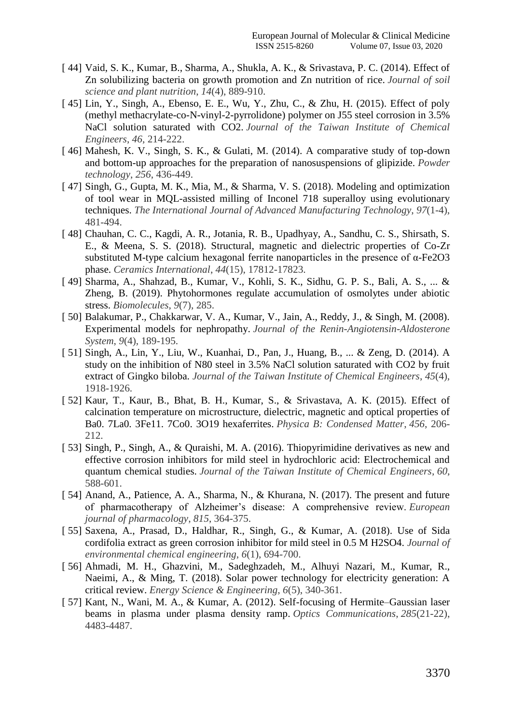- [ 44] Vaid, S. K., Kumar, B., Sharma, A., Shukla, A. K., & Srivastava, P. C. (2014). Effect of Zn solubilizing bacteria on growth promotion and Zn nutrition of rice. *Journal of soil science and plant nutrition*, *14*(4), 889-910.
- [ 45] Lin, Y., Singh, A., Ebenso, E. E., Wu, Y., Zhu, C., & Zhu, H. (2015). Effect of poly (methyl methacrylate-co-N-vinyl-2-pyrrolidone) polymer on J55 steel corrosion in 3.5% NaCl solution saturated with CO2. *Journal of the Taiwan Institute of Chemical Engineers*, *46*, 214-222.
- [ 46] Mahesh, K. V., Singh, S. K., & Gulati, M. (2014). A comparative study of top-down and bottom-up approaches for the preparation of nanosuspensions of glipizide. *Powder technology*, *256*, 436-449.
- [ 47] Singh, G., Gupta, M. K., Mia, M., & Sharma, V. S. (2018). Modeling and optimization of tool wear in MQL-assisted milling of Inconel 718 superalloy using evolutionary techniques. *The International Journal of Advanced Manufacturing Technology*, *97*(1-4), 481-494.
- [ 48] Chauhan, C. C., Kagdi, A. R., Jotania, R. B., Upadhyay, A., Sandhu, C. S., Shirsath, S. E., & Meena, S. S. (2018). Structural, magnetic and dielectric properties of Co-Zr substituted M-type calcium hexagonal ferrite nanoparticles in the presence of α-Fe2O3 phase. *Ceramics International*, *44*(15), 17812-17823.
- [ 49] Sharma, A., Shahzad, B., Kumar, V., Kohli, S. K., Sidhu, G. P. S., Bali, A. S., ... & Zheng, B. (2019). Phytohormones regulate accumulation of osmolytes under abiotic stress. *Biomolecules*, *9*(7), 285.
- [ 50] Balakumar, P., Chakkarwar, V. A., Kumar, V., Jain, A., Reddy, J., & Singh, M. (2008). Experimental models for nephropathy. *Journal of the Renin-Angiotensin-Aldosterone System*, *9*(4), 189-195.
- [ 51] Singh, A., Lin, Y., Liu, W., Kuanhai, D., Pan, J., Huang, B., ... & Zeng, D. (2014). A study on the inhibition of N80 steel in 3.5% NaCl solution saturated with CO2 by fruit extract of Gingko biloba. *Journal of the Taiwan Institute of Chemical Engineers*, *45*(4), 1918-1926.
- [ 52] Kaur, T., Kaur, B., Bhat, B. H., Kumar, S., & Srivastava, A. K. (2015). Effect of calcination temperature on microstructure, dielectric, magnetic and optical properties of Ba0. 7La0. 3Fe11. 7Co0. 3O19 hexaferrites. *Physica B: Condensed Matter*, *456*, 206- 212.
- [ 53] Singh, P., Singh, A., & Quraishi, M. A. (2016). Thiopyrimidine derivatives as new and effective corrosion inhibitors for mild steel in hydrochloric acid: Electrochemical and quantum chemical studies. *Journal of the Taiwan Institute of Chemical Engineers*, *60*, 588-601.
- [ 54] Anand, A., Patience, A. A., Sharma, N., & Khurana, N. (2017). The present and future of pharmacotherapy of Alzheimer's disease: A comprehensive review. *European journal of pharmacology*, *815*, 364-375.
- [ 55] Saxena, A., Prasad, D., Haldhar, R., Singh, G., & Kumar, A. (2018). Use of Sida cordifolia extract as green corrosion inhibitor for mild steel in 0.5 M H2SO4. *Journal of environmental chemical engineering*, *6*(1), 694-700.
- [ 56] Ahmadi, M. H., Ghazvini, M., Sadeghzadeh, M., Alhuyi Nazari, M., Kumar, R., Naeimi, A., & Ming, T. (2018). Solar power technology for electricity generation: A critical review. *Energy Science & Engineering*, *6*(5), 340-361.
- [ 57] Kant, N., Wani, M. A., & Kumar, A. (2012). Self-focusing of Hermite–Gaussian laser beams in plasma under plasma density ramp. *Optics Communications*, *285*(21-22), 4483-4487.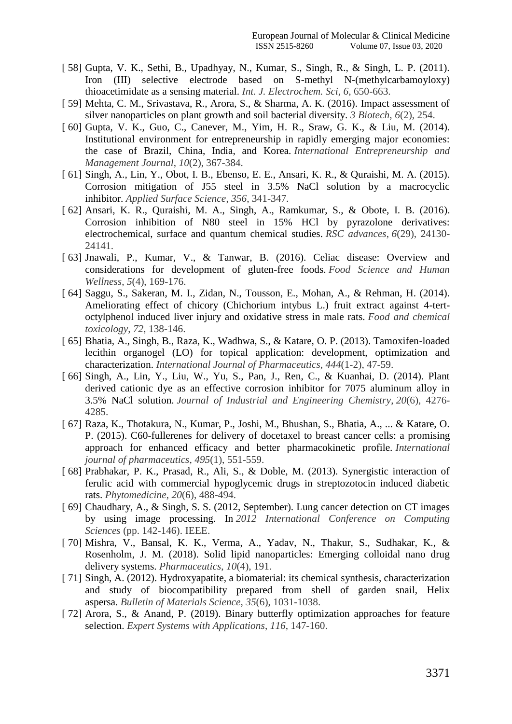- [ 58] Gupta, V. K., Sethi, B., Upadhyay, N., Kumar, S., Singh, R., & Singh, L. P. (2011). Iron (III) selective electrode based on S-methyl N-(methylcarbamoyloxy) thioacetimidate as a sensing material. *Int. J. Electrochem. Sci*, *6*, 650-663.
- [ 59] Mehta, C. M., Srivastava, R., Arora, S., & Sharma, A. K. (2016). Impact assessment of silver nanoparticles on plant growth and soil bacterial diversity. *3 Biotech*, *6*(2), 254.
- [ 60] Gupta, V. K., Guo, C., Canever, M., Yim, H. R., Sraw, G. K., & Liu, M. (2014). Institutional environment for entrepreneurship in rapidly emerging major economies: the case of Brazil, China, India, and Korea. *International Entrepreneurship and Management Journal*, *10*(2), 367-384.
- [ 61] Singh, A., Lin, Y., Obot, I. B., Ebenso, E. E., Ansari, K. R., & Quraishi, M. A. (2015). Corrosion mitigation of J55 steel in 3.5% NaCl solution by a macrocyclic inhibitor. *Applied Surface Science*, *356*, 341-347.
- [ 62] Ansari, K. R., Quraishi, M. A., Singh, A., Ramkumar, S., & Obote, I. B. (2016). Corrosion inhibition of N80 steel in 15% HCl by pyrazolone derivatives: electrochemical, surface and quantum chemical studies. *RSC advances*, *6*(29), 24130- 24141.
- [ 63] Jnawali, P., Kumar, V., & Tanwar, B. (2016). Celiac disease: Overview and considerations for development of gluten-free foods. *Food Science and Human Wellness*, *5*(4), 169-176.
- [ 64] Saggu, S., Sakeran, M. I., Zidan, N., Tousson, E., Mohan, A., & Rehman, H. (2014). Ameliorating effect of chicory (Chichorium intybus L.) fruit extract against 4-tertoctylphenol induced liver injury and oxidative stress in male rats. *Food and chemical toxicology*, *72*, 138-146.
- [ 65] Bhatia, A., Singh, B., Raza, K., Wadhwa, S., & Katare, O. P. (2013). Tamoxifen-loaded lecithin organogel (LO) for topical application: development, optimization and characterization. *International Journal of Pharmaceutics*, *444*(1-2), 47-59.
- [ 66] Singh, A., Lin, Y., Liu, W., Yu, S., Pan, J., Ren, C., & Kuanhai, D. (2014). Plant derived cationic dye as an effective corrosion inhibitor for 7075 aluminum alloy in 3.5% NaCl solution. *Journal of Industrial and Engineering Chemistry*, *20*(6), 4276- 4285.
- [ 67] Raza, K., Thotakura, N., Kumar, P., Joshi, M., Bhushan, S., Bhatia, A., ... & Katare, O. P. (2015). C60-fullerenes for delivery of docetaxel to breast cancer cells: a promising approach for enhanced efficacy and better pharmacokinetic profile. *International journal of pharmaceutics*, *495*(1), 551-559.
- [ 68] Prabhakar, P. K., Prasad, R., Ali, S., & Doble, M. (2013). Synergistic interaction of ferulic acid with commercial hypoglycemic drugs in streptozotocin induced diabetic rats. *Phytomedicine*, *20*(6), 488-494.
- [ 69] Chaudhary, A., & Singh, S. S. (2012, September). Lung cancer detection on CT images by using image processing. In *2012 International Conference on Computing Sciences* (pp. 142-146). IEEE.
- [ 70] Mishra, V., Bansal, K. K., Verma, A., Yadav, N., Thakur, S., Sudhakar, K., & Rosenholm, J. M. (2018). Solid lipid nanoparticles: Emerging colloidal nano drug delivery systems. *Pharmaceutics*, *10*(4), 191.
- [ 71] Singh, A. (2012). Hydroxyapatite, a biomaterial: its chemical synthesis, characterization and study of biocompatibility prepared from shell of garden snail, Helix aspersa. *Bulletin of Materials Science*, *35*(6), 1031-1038.
- [ 72] Arora, S., & Anand, P. (2019). Binary butterfly optimization approaches for feature selection. *Expert Systems with Applications*, *116*, 147-160.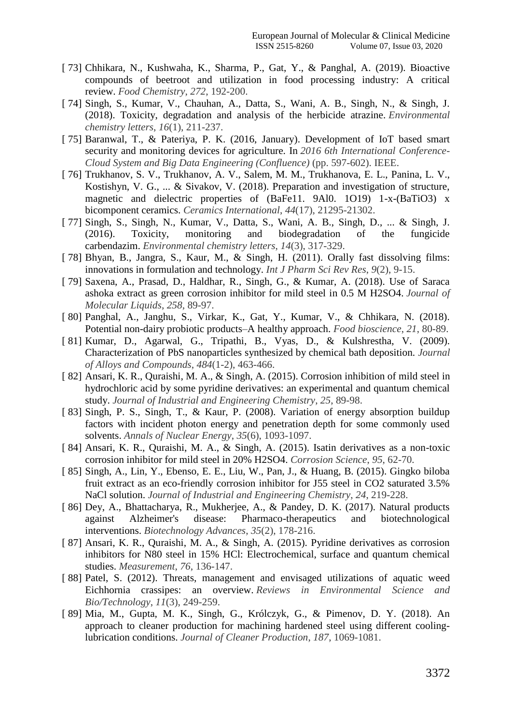- [ 73] Chhikara, N., Kushwaha, K., Sharma, P., Gat, Y., & Panghal, A. (2019). Bioactive compounds of beetroot and utilization in food processing industry: A critical review. *Food Chemistry*, *272*, 192-200.
- [ 74] Singh, S., Kumar, V., Chauhan, A., Datta, S., Wani, A. B., Singh, N., & Singh, J. (2018). Toxicity, degradation and analysis of the herbicide atrazine. *Environmental chemistry letters*, *16*(1), 211-237.
- [ 75] Baranwal, T., & Pateriya, P. K. (2016, January). Development of IoT based smart security and monitoring devices for agriculture. In *2016 6th International Conference-Cloud System and Big Data Engineering (Confluence)* (pp. 597-602). IEEE.
- [ 76] Trukhanov, S. V., Trukhanov, A. V., Salem, M. M., Trukhanova, E. L., Panina, L. V., Kostishyn, V. G., ... & Sivakov, V. (2018). Preparation and investigation of structure, magnetic and dielectric properties of (BaFe11. 9Al0. 1O19) 1-x-(BaTiO3) x bicomponent ceramics. *Ceramics International*, *44*(17), 21295-21302.
- [ 77] Singh, S., Singh, N., Kumar, V., Datta, S., Wani, A. B., Singh, D., ... & Singh, J. (2016). Toxicity, monitoring and biodegradation of the fungicide carbendazim. *Environmental chemistry letters*, *14*(3), 317-329.
- [ 78] Bhyan, B., Jangra, S., Kaur, M., & Singh, H. (2011). Orally fast dissolving films: innovations in formulation and technology. *Int J Pharm Sci Rev Res*, *9*(2), 9-15.
- [ 79] Saxena, A., Prasad, D., Haldhar, R., Singh, G., & Kumar, A. (2018). Use of Saraca ashoka extract as green corrosion inhibitor for mild steel in 0.5 M H2SO4. *Journal of Molecular Liquids*, *258*, 89-97.
- [ 80] Panghal, A., Janghu, S., Virkar, K., Gat, Y., Kumar, V., & Chhikara, N. (2018). Potential non-dairy probiotic products–A healthy approach. *Food bioscience*, *21*, 80-89.
- [ 81] Kumar, D., Agarwal, G., Tripathi, B., Vyas, D., & Kulshrestha, V. (2009). Characterization of PbS nanoparticles synthesized by chemical bath deposition. *Journal of Alloys and Compounds*, *484*(1-2), 463-466.
- [ 82] Ansari, K. R., Quraishi, M. A., & Singh, A. (2015). Corrosion inhibition of mild steel in hydrochloric acid by some pyridine derivatives: an experimental and quantum chemical study. *Journal of Industrial and Engineering Chemistry*, *25*, 89-98.
- [ 83] Singh, P. S., Singh, T., & Kaur, P. (2008). Variation of energy absorption buildup factors with incident photon energy and penetration depth for some commonly used solvents. *Annals of Nuclear Energy*, *35*(6), 1093-1097.
- [ 84] Ansari, K. R., Quraishi, M. A., & Singh, A. (2015). Isatin derivatives as a non-toxic corrosion inhibitor for mild steel in 20% H2SO4. *Corrosion Science*, *95*, 62-70.
- [ 85] Singh, A., Lin, Y., Ebenso, E. E., Liu, W., Pan, J., & Huang, B. (2015). Gingko biloba fruit extract as an eco-friendly corrosion inhibitor for J55 steel in CO2 saturated 3.5% NaCl solution. *Journal of Industrial and Engineering Chemistry*, *24*, 219-228.
- [ 86] Dey, A., Bhattacharya, R., Mukherjee, A., & Pandey, D. K. (2017). Natural products against Alzheimer's disease: Pharmaco-therapeutics and biotechnological interventions. *Biotechnology Advances*, *35*(2), 178-216.
- [ 87] Ansari, K. R., Quraishi, M. A., & Singh, A. (2015). Pyridine derivatives as corrosion inhibitors for N80 steel in 15% HCl: Electrochemical, surface and quantum chemical studies. *Measurement*, *76*, 136-147.
- [88] Patel, S. (2012). Threats, management and envisaged utilizations of aquatic weed Eichhornia crassipes: an overview. *Reviews in Environmental Science and Bio/Technology*, *11*(3), 249-259.
- [ 89] Mia, M., Gupta, M. K., Singh, G., Królczyk, G., & Pimenov, D. Y. (2018). An approach to cleaner production for machining hardened steel using different coolinglubrication conditions. *Journal of Cleaner Production*, *187*, 1069-1081.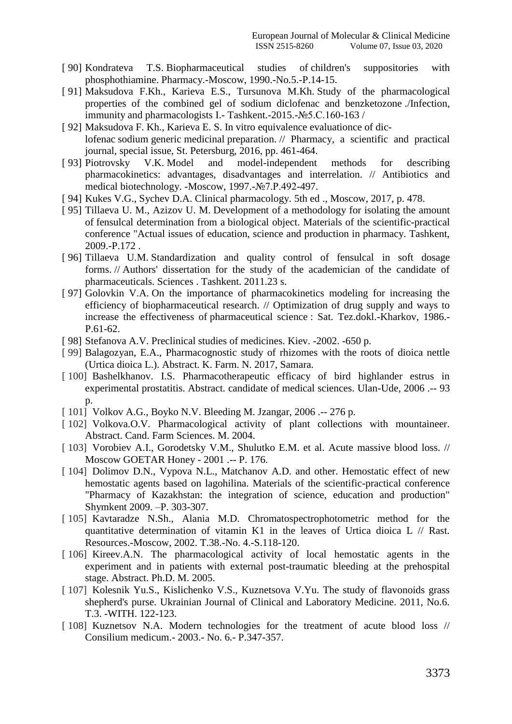- [ 90] Kondrateva T.S. Biopharmaceutical studies of children's suppositories with phosphothiamine. Pharmacy.-Moscow, 1990.-No.5.-P.14-15.
- [ 91] Maksudova F.Kh., Karieva E.S., Tursunova M.Kh. Study of the pharmacological properties of the combined gel of sodium diclofenac and benzketozone ./Infection, immunity and pharmacologists I.- Tashkent.-2015.-№5.C.160-163 /
- [ 92] Maksudova F. Kh., Karieva E. S. In vitro equivalence evaluationce of diclofenac sodium generic medicinal preparation. // Pharmacy, a scientific and practical journal, special issue, St. Petersburg, 2016, pp. 461-464.
- [ 93] Piotrovsky V.K. Model and model-independent methods for describing pharmacokinetics: advantages, disadvantages and interrelation. // Antibiotics and medical biotechnology. -Moscow, 1997.-№7.P.492-497.
- [ 94] Kukes V.G., Sychev D.A. Clinical pharmacology. 5th ed ., Moscow, 2017, p. 478.
- [ 95] Tillaeva U. M., Azizov U. M. Development of a methodology for isolating the amount of fensulcal determination from a biological object. Materials of the scientific-practical conference "Actual issues of education, science and production in pharmacy. Tashkent, 2009.-P.172 .
- [96] Tillaeva U.M. Standardization and quality control of fensulcal in soft dosage forms. // Authors' dissertation for the study of the academician of the candidate of pharmaceuticals. Sciences . Tashkent. 2011.23 s.
- [ 97] Golovkin V.A. On the importance of pharmacokinetics modeling for increasing the efficiency of biopharmaceutical research. // Optimization of drug supply and ways to increase the effectiveness of pharmaceutical science : Sat. Tez.dokl.-Kharkov, 1986.- P.61-62.
- [ 98] Stefanova A.V. Preclinical studies of medicines. Kiev. -2002. -650 p.
- [ 99] Balagozyan, E.A., Pharmacognostic study of rhizomes with the roots of dioica nettle (Urtica dioica L.). Abstract. K. Farm. N. 2017, Samara.
- [100] Bashelkhanov. I.S. Pharmacotherapeutic efficacy of bird highlander estrus in experimental prostatitis. Abstract. candidate of medical sciences. Ulan-Ude, 2006 .-- 93  $\mathbf{D}$ .
- [ 101] Volkov A.G., Boyko N.V. Bleeding M. Jzangar, 2006 .-- 276 p.
- [102] Volkova.O.V. Pharmacological activity of plant collections with mountaineer. Abstract. Cand. Farm Sciences. M. 2004.
- [ 103] Vorobiev A.I., Gorodetsky V.M., Shulutko E.M. et al. Acute massive blood loss. // Moscow GOETAR Honey - 2001 .-- P. 176.
- [ 104] Dolimov D.N., Vypova N.L., Matchanov A.D. and other. Hemostatic effect of new hemostatic agents based on lagohilina. Materials of the scientific-practical conference "Pharmacy of Kazakhstan: the integration of science, education and production" Shymkent 2009. –P. 303-307.
- [105] Kavtaradze N.Sh., Alania M.D. Chromatospectrophotometric method for the quantitative determination of vitamin K1 in the leaves of Urtica dioica L // Rast. Resources.-Moscow, 2002. T.38.-No. 4.-S.118-120.
- [106] Kireev.A.N. The pharmacological activity of local hemostatic agents in the experiment and in patients with external post-traumatic bleeding at the prehospital stage. Abstract. Ph.D. M. 2005.
- [ 107] Kolesnik Yu.S., Kislichenko V.S., Kuznetsova V.Yu. The study of flavonoids grass shepherd's purse. Ukrainian Journal of Clinical and Laboratory Medicine. 2011, No.6. T.3. -WITH. 122-123.
- [ 108] Kuznetsov N.A. Modern technologies for the treatment of acute blood loss // Consilium medicum.- 2003.- No. 6.- P.347-357.